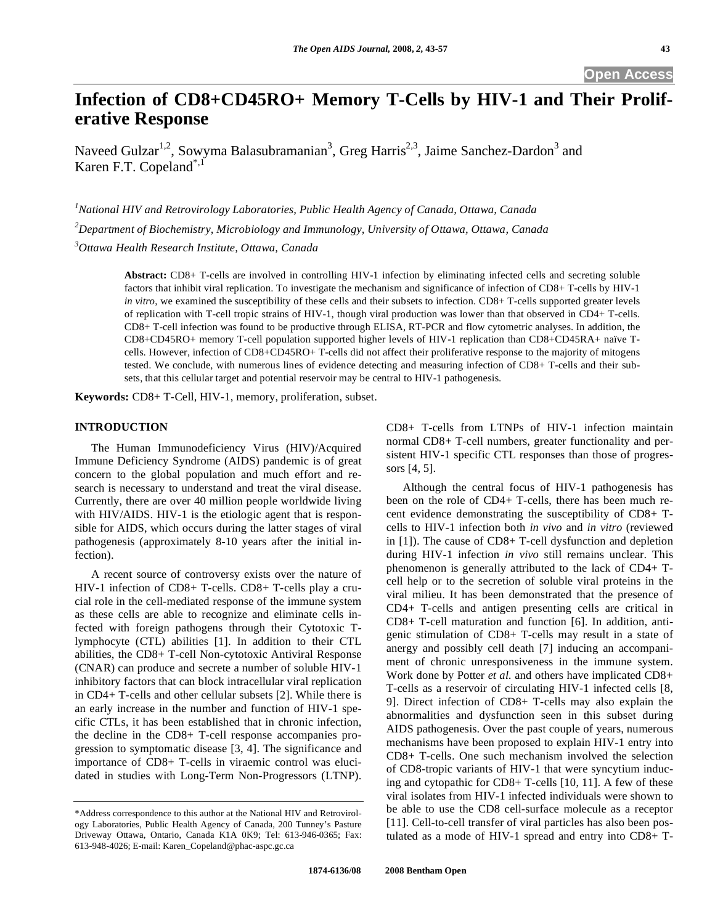# **Infection of CD8+CD45RO+ Memory T-Cells by HIV-1 and Their Proliferative Response**

Naveed Gulzar<sup>1,2</sup>, Sowyma Balasubramanian<sup>3</sup>, Greg Harris<sup>2,3</sup>, Jaime Sanchez-Dardon<sup>3</sup> and Karen F.T. Copeland<sup>\*,1</sup>

*1 National HIV and Retrovirology Laboratories, Public Health Agency of Canada, Ottawa, Canada* 

*2 Department of Biochemistry, Microbiology and Immunology, University of Ottawa, Ottawa, Canada* 

*3 Ottawa Health Research Institute, Ottawa, Canada* 

**Abstract:** CD8+ T-cells are involved in controlling HIV-1 infection by eliminating infected cells and secreting soluble factors that inhibit viral replication. To investigate the mechanism and significance of infection of CD8+ T-cells by HIV-1 *in vitro*, we examined the susceptibility of these cells and their subsets to infection. CD8+ T-cells supported greater levels of replication with T-cell tropic strains of HIV-1, though viral production was lower than that observed in CD4+ T-cells. CD8+ T-cell infection was found to be productive through ELISA, RT-PCR and flow cytometric analyses. In addition, the CD8+CD45RO+ memory T-cell population supported higher levels of HIV-1 replication than CD8+CD45RA+ naïve Tcells. However, infection of CD8+CD45RO+ T-cells did not affect their proliferative response to the majority of mitogens tested. We conclude, with numerous lines of evidence detecting and measuring infection of CD8+ T-cells and their subsets, that this cellular target and potential reservoir may be central to HIV-1 pathogenesis.

**Keywords:** CD8+ T-Cell, HIV-1, memory, proliferation, subset.

## **INTRODUCTION**

 The Human Immunodeficiency Virus (HIV)/Acquired Immune Deficiency Syndrome (AIDS) pandemic is of great concern to the global population and much effort and research is necessary to understand and treat the viral disease. Currently, there are over 40 million people worldwide living with HIV/AIDS. HIV-1 is the etiologic agent that is responsible for AIDS, which occurs during the latter stages of viral pathogenesis (approximately 8-10 years after the initial infection).

 A recent source of controversy exists over the nature of HIV-1 infection of CD8+ T-cells. CD8+ T-cells play a crucial role in the cell-mediated response of the immune system as these cells are able to recognize and eliminate cells infected with foreign pathogens through their Cytotoxic Tlymphocyte (CTL) abilities [1]. In addition to their CTL abilities, the CD8+ T-cell Non-cytotoxic Antiviral Response (CNAR) can produce and secrete a number of soluble HIV-1 inhibitory factors that can block intracellular viral replication in CD4+ T-cells and other cellular subsets [2]. While there is an early increase in the number and function of HIV-1 specific CTLs, it has been established that in chronic infection, the decline in the CD8+ T-cell response accompanies progression to symptomatic disease [3, 4]. The significance and importance of CD8+ T-cells in viraemic control was elucidated in studies with Long-Term Non-Progressors (LTNP).

CD8+ T-cells from LTNPs of HIV-1 infection maintain normal CD8+ T-cell numbers, greater functionality and persistent HIV-1 specific CTL responses than those of progressors [4, 5].

 Although the central focus of HIV-1 pathogenesis has been on the role of CD4+ T-cells, there has been much recent evidence demonstrating the susceptibility of CD8+ Tcells to HIV-1 infection both *in vivo* and *in vitro* (reviewed in [1]). The cause of CD8+ T-cell dysfunction and depletion during HIV-1 infection *in vivo* still remains unclear. This phenomenon is generally attributed to the lack of CD4+ Tcell help or to the secretion of soluble viral proteins in the viral milieu. It has been demonstrated that the presence of CD4+ T-cells and antigen presenting cells are critical in CD8+ T-cell maturation and function [6]. In addition, antigenic stimulation of CD8+ T-cells may result in a state of anergy and possibly cell death [7] inducing an accompaniment of chronic unresponsiveness in the immune system. Work done by Potter *et al.* and others have implicated CD8+ T-cells as a reservoir of circulating HIV-1 infected cells [8, 9]. Direct infection of CD8+ T-cells may also explain the abnormalities and dysfunction seen in this subset during AIDS pathogenesis. Over the past couple of years, numerous mechanisms have been proposed to explain HIV-1 entry into CD8+ T-cells. One such mechanism involved the selection of CD8-tropic variants of HIV-1 that were syncytium inducing and cytopathic for CD8+ T-cells [10, 11]. A few of these viral isolates from HIV-1 infected individuals were shown to be able to use the CD8 cell-surface molecule as a receptor [11]. Cell-to-cell transfer of viral particles has also been postulated as a mode of HIV-1 spread and entry into CD8+ T-

<sup>\*</sup>Address correspondence to this author at the National HIV and Retrovirology Laboratories, Public Health Agency of Canada, 200 Tunney's Pasture Driveway Ottawa, Ontario, Canada K1A 0K9; Tel: 613-946-0365; Fax: 613-948-4026; E-mail: Karen\_Copeland@phac-aspc.gc.ca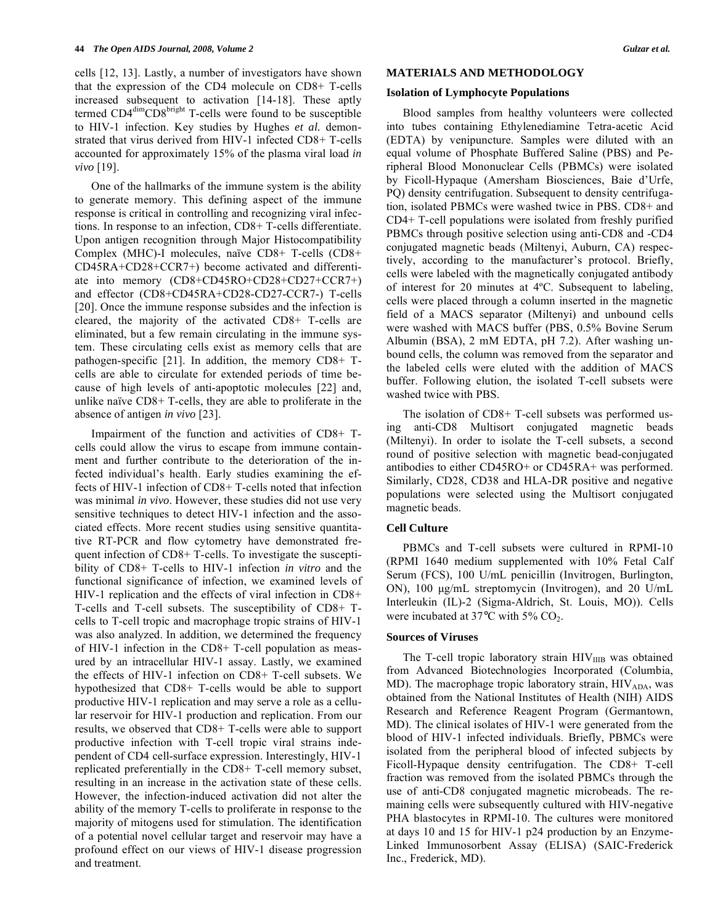cells [12, 13]. Lastly, a number of investigators have shown that the expression of the CD4 molecule on CD8+ T-cells increased subsequent to activation [14-18]. These aptly termed CD4<sup>dim</sup>CD8<sup>bright</sup> T-cells were found to be susceptible to HIV-1 infection. Key studies by Hughes *et al.* demonstrated that virus derived from HIV-1 infected CD8+ T-cells accounted for approximately 15% of the plasma viral load *in vivo* [19].

 One of the hallmarks of the immune system is the ability to generate memory. This defining aspect of the immune response is critical in controlling and recognizing viral infections. In response to an infection, CD8+ T-cells differentiate. Upon antigen recognition through Major Histocompatibility Complex (MHC)-I molecules, naïve CD8+ T-cells (CD8+ CD45RA+CD28+CCR7+) become activated and differentiate into memory (CD8+CD45RO+CD28+CD27+CCR7+) and effector (CD8+CD45RA+CD28-CD27-CCR7-) T-cells [20]. Once the immune response subsides and the infection is cleared, the majority of the activated CD8+ T-cells are eliminated, but a few remain circulating in the immune system. These circulating cells exist as memory cells that are pathogen-specific [21]. In addition, the memory CD8+ Tcells are able to circulate for extended periods of time because of high levels of anti-apoptotic molecules [22] and, unlike naïve CD8+ T-cells, they are able to proliferate in the absence of antigen *in vivo* [23].

 Impairment of the function and activities of CD8+ Tcells could allow the virus to escape from immune containment and further contribute to the deterioration of the infected individual's health. Early studies examining the effects of HIV-1 infection of CD8+ T-cells noted that infection was minimal *in vivo*. However, these studies did not use very sensitive techniques to detect HIV-1 infection and the associated effects. More recent studies using sensitive quantitative RT-PCR and flow cytometry have demonstrated frequent infection of CD8+ T-cells. To investigate the susceptibility of CD8+ T-cells to HIV-1 infection *in vitro* and the functional significance of infection, we examined levels of HIV-1 replication and the effects of viral infection in CD8+ T-cells and T-cell subsets. The susceptibility of CD8+ Tcells to T-cell tropic and macrophage tropic strains of HIV-1 was also analyzed. In addition, we determined the frequency of HIV-1 infection in the CD8+ T-cell population as measured by an intracellular HIV-1 assay. Lastly, we examined the effects of HIV-1 infection on CD8+ T-cell subsets. We hypothesized that CD8+ T-cells would be able to support productive HIV-1 replication and may serve a role as a cellular reservoir for HIV-1 production and replication. From our results, we observed that CD8+ T-cells were able to support productive infection with T-cell tropic viral strains independent of CD4 cell-surface expression. Interestingly, HIV-1 replicated preferentially in the CD8+ T-cell memory subset, resulting in an increase in the activation state of these cells. However, the infection-induced activation did not alter the ability of the memory T-cells to proliferate in response to the majority of mitogens used for stimulation. The identification of a potential novel cellular target and reservoir may have a profound effect on our views of HIV-1 disease progression and treatment.

#### **MATERIALS AND METHODOLOGY**

#### **Isolation of Lymphocyte Populations**

 Blood samples from healthy volunteers were collected into tubes containing Ethylenediamine Tetra-acetic Acid (EDTA) by venipuncture. Samples were diluted with an equal volume of Phosphate Buffered Saline (PBS) and Peripheral Blood Mononuclear Cells (PBMCs) were isolated by Ficoll-Hypaque (Amersham Biosciences, Baie d'Urfe, PQ) density centrifugation. Subsequent to density centrifugation, isolated PBMCs were washed twice in PBS. CD8+ and CD4+ T-cell populations were isolated from freshly purified PBMCs through positive selection using anti-CD8 and -CD4 conjugated magnetic beads (Miltenyi, Auburn, CA) respectively, according to the manufacturer's protocol. Briefly, cells were labeled with the magnetically conjugated antibody of interest for 20 minutes at 4ºC. Subsequent to labeling, cells were placed through a column inserted in the magnetic field of a MACS separator (Miltenyi) and unbound cells were washed with MACS buffer (PBS, 0.5% Bovine Serum Albumin (BSA), 2 mM EDTA, pH 7.2). After washing unbound cells, the column was removed from the separator and the labeled cells were eluted with the addition of MACS buffer. Following elution, the isolated T-cell subsets were washed twice with PBS.

 The isolation of CD8+ T-cell subsets was performed using anti-CD8 Multisort conjugated magnetic beads (Miltenyi). In order to isolate the T-cell subsets, a second round of positive selection with magnetic bead-conjugated antibodies to either CD45RO+ or CD45RA+ was performed. Similarly, CD28, CD38 and HLA-DR positive and negative populations were selected using the Multisort conjugated magnetic beads.

## **Cell Culture**

 PBMCs and T-cell subsets were cultured in RPMI-10 (RPMI 1640 medium supplemented with 10% Fetal Calf Serum (FCS), 100 U/mL penicillin (Invitrogen, Burlington, ON), 100 μg/mL streptomycin (Invitrogen), and 20 U/mL Interleukin (IL)-2 (Sigma-Aldrich, St. Louis, MO)). Cells were incubated at 37°C with 5% CO<sub>2</sub>.

## **Sources of Viruses**

The T-cell tropic laboratory strain  $HIV<sub>IIB</sub>$  was obtained from Advanced Biotechnologies Incorporated (Columbia, MD). The macrophage tropic laboratory strain,  $HIV<sub>ADA</sub>$ , was obtained from the National Institutes of Health (NIH) AIDS Research and Reference Reagent Program (Germantown, MD). The clinical isolates of HIV-1 were generated from the blood of HIV-1 infected individuals. Briefly, PBMCs were isolated from the peripheral blood of infected subjects by Ficoll-Hypaque density centrifugation. The CD8+ T-cell fraction was removed from the isolated PBMCs through the use of anti-CD8 conjugated magnetic microbeads. The remaining cells were subsequently cultured with HIV-negative PHA blastocytes in RPMI-10. The cultures were monitored at days 10 and 15 for HIV-1 p24 production by an Enzyme-Linked Immunosorbent Assay (ELISA) (SAIC-Frederick Inc., Frederick, MD).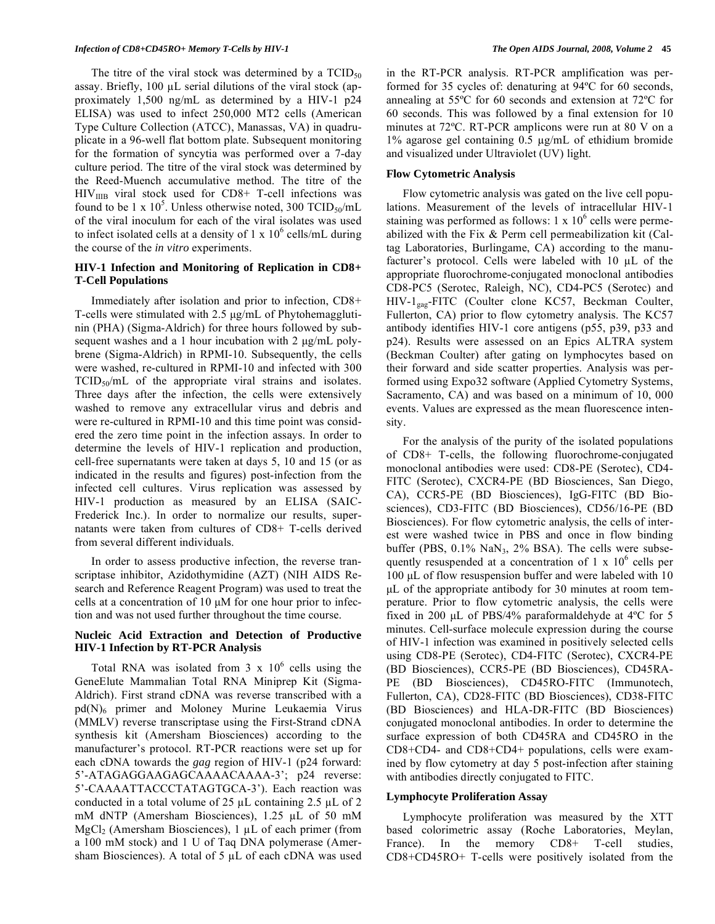#### *Infection of CD8+CD45RO+ Memory T-Cells by HIV-1 The Open AIDS Journal, 2008, Volume 2* **45**

The titre of the viral stock was determined by a  $TCID_{50}$ assay. Briefly,  $100 \mu L$  serial dilutions of the viral stock (approximately 1,500 ng/mL as determined by a HIV-1 p24 ELISA) was used to infect 250,000 MT2 cells (American Type Culture Collection (ATCC), Manassas, VA) in quadruplicate in a 96-well flat bottom plate. Subsequent monitoring for the formation of syncytia was performed over a 7-day culture period. The titre of the viral stock was determined by the Reed-Muench accumulative method. The titre of the  $HIV<sub>IUB</sub>$  viral stock used for CD8+ T-cell infections was found to be 1 x  $10^5$ . Unless otherwise noted, 300 TCID<sub>50</sub>/mL of the viral inoculum for each of the viral isolates was used to infect isolated cells at a density of  $1 \times 10^6$  cells/mL during the course of the *in vitro* experiments.

# **HIV-1 Infection and Monitoring of Replication in CD8+ T-Cell Populations**

 Immediately after isolation and prior to infection, CD8+ T-cells were stimulated with 2.5 μg/mL of Phytohemagglutinin (PHA) (Sigma-Aldrich) for three hours followed by subsequent washes and a 1 hour incubation with 2 μg/mL polybrene (Sigma-Aldrich) in RPMI-10. Subsequently, the cells were washed, re-cultured in RPMI-10 and infected with 300  $TCID<sub>50</sub>/mL$  of the appropriate viral strains and isolates. Three days after the infection, the cells were extensively washed to remove any extracellular virus and debris and were re-cultured in RPMI-10 and this time point was considered the zero time point in the infection assays. In order to determine the levels of HIV-1 replication and production, cell-free supernatants were taken at days 5, 10 and 15 (or as indicated in the results and figures) post-infection from the infected cell cultures. Virus replication was assessed by HIV-1 production as measured by an ELISA (SAIC-Frederick Inc.). In order to normalize our results, supernatants were taken from cultures of CD8+ T-cells derived from several different individuals.

 In order to assess productive infection, the reverse transcriptase inhibitor, Azidothymidine (AZT) (NIH AIDS Research and Reference Reagent Program) was used to treat the cells at a concentration of 10 μM for one hour prior to infection and was not used further throughout the time course.

## **Nucleic Acid Extraction and Detection of Productive HIV-1 Infection by RT-PCR Analysis**

Total RNA was isolated from  $3 \times 10^6$  cells using the GeneElute Mammalian Total RNA Miniprep Kit (Sigma-Aldrich). First strand cDNA was reverse transcribed with a pd(N)<sub>6</sub> primer and Moloney Murine Leukaemia Virus (MMLV) reverse transcriptase using the First-Strand cDNA synthesis kit (Amersham Biosciences) according to the manufacturer's protocol. RT-PCR reactions were set up for each cDNA towards the *gag* region of HIV-1 (p24 forward: 5'-ATAGAGGAAGAGCAAAACAAAA-3'; p24 reverse: 5'-CAAAATTACCCTATAGTGCA-3'). Each reaction was conducted in a total volume of 25  $\mu$ L containing 2.5  $\mu$ L of 2 mM dNTP (Amersham Biosciences),  $1.25 \mu L$  of 50 mM MgCl<sub>2</sub> (Amersham Biosciences), 1  $\mu$ L of each primer (from a 100 mM stock) and 1 U of Taq DNA polymerase (Amersham Biosciences). A total of 5  $\mu$ L of each cDNA was used

in the RT-PCR analysis. RT-PCR amplification was performed for 35 cycles of: denaturing at 94ºC for 60 seconds, annealing at 55ºC for 60 seconds and extension at 72ºC for 60 seconds. This was followed by a final extension for 10 minutes at 72ºC. RT-PCR amplicons were run at 80 V on a 1% agarose gel containing  $0.5 \mu g/mL$  of ethidium bromide and visualized under Ultraviolet (UV) light.

## **Flow Cytometric Analysis**

 Flow cytometric analysis was gated on the live cell populations. Measurement of the levels of intracellular HIV-1 staining was performed as follows:  $1 \times 10^6$  cells were permeabilized with the Fix & Perm cell permeabilization kit (Caltag Laboratories, Burlingame, CA) according to the manufacturer's protocol. Cells were labeled with  $10 \mu L$  of the appropriate fluorochrome-conjugated monoclonal antibodies CD8-PC5 (Serotec, Raleigh, NC), CD4-PC5 (Serotec) and HIV-1gag-FITC (Coulter clone KC57, Beckman Coulter, Fullerton, CA) prior to flow cytometry analysis. The KC57 antibody identifies HIV-1 core antigens (p55, p39, p33 and p24). Results were assessed on an Epics ALTRA system (Beckman Coulter) after gating on lymphocytes based on their forward and side scatter properties. Analysis was performed using Expo32 software (Applied Cytometry Systems, Sacramento, CA) and was based on a minimum of 10, 000 events. Values are expressed as the mean fluorescence intensity.

 For the analysis of the purity of the isolated populations of CD8+ T-cells, the following fluorochrome-conjugated monoclonal antibodies were used: CD8-PE (Serotec), CD4- FITC (Serotec), CXCR4-PE (BD Biosciences, San Diego, CA), CCR5-PE (BD Biosciences), IgG-FITC (BD Biosciences), CD3-FITC (BD Biosciences), CD56/16-PE (BD Biosciences). For flow cytometric analysis, the cells of interest were washed twice in PBS and once in flow binding buffer (PBS,  $0.1\%$  NaN<sub>3</sub>,  $2\%$  BSA). The cells were subsequently resuspended at a concentration of  $1 \times 10^6$  cells per 100 μL of flow resuspension buffer and were labeled with 10 μL of the appropriate antibody for 30 minutes at room temperature. Prior to flow cytometric analysis, the cells were fixed in 200 μL of PBS/4% paraformaldehyde at 4ºC for 5 minutes. Cell-surface molecule expression during the course of HIV-1 infection was examined in positively selected cells using CD8-PE (Serotec), CD4-FITC (Serotec), CXCR4-PE (BD Biosciences), CCR5-PE (BD Biosciences), CD45RA-PE (BD Biosciences), CD45RO-FITC (Immunotech, Fullerton, CA), CD28-FITC (BD Biosciences), CD38-FITC (BD Biosciences) and HLA-DR-FITC (BD Biosciences) conjugated monoclonal antibodies. In order to determine the surface expression of both CD45RA and CD45RO in the CD8+CD4- and CD8+CD4+ populations, cells were examined by flow cytometry at day 5 post-infection after staining with antibodies directly conjugated to FITC.

## **Lymphocyte Proliferation Assay**

 Lymphocyte proliferation was measured by the XTT based colorimetric assay (Roche Laboratories, Meylan, France). In the memory CD8+ T-cell studies, CD8+CD45RO+ T-cells were positively isolated from the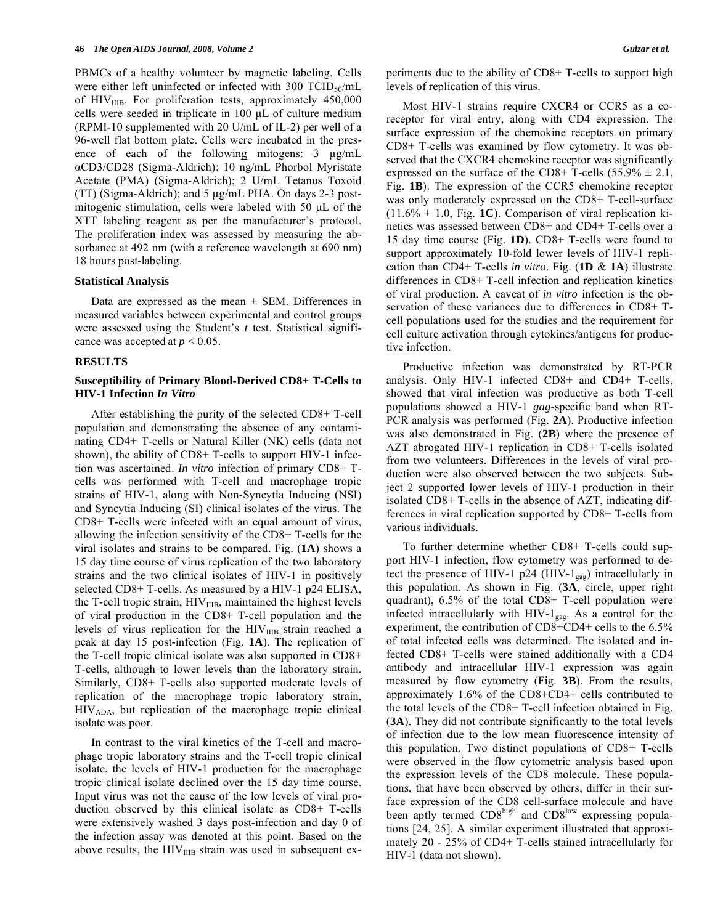PBMCs of a healthy volunteer by magnetic labeling. Cells were either left uninfected or infected with 300 TCID<sub>50</sub>/mL of  $HIV<sub>IIB</sub>$ . For proliferation tests, approximately 450,000 cells were seeded in triplicate in 100 μL of culture medium (RPMI-10 supplemented with 20 U/mL of IL-2) per well of a 96-well flat bottom plate. Cells were incubated in the presence of each of the following mitogens:  $3 \mu g/mL$ aCD3/CD28 (Sigma-Aldrich); 10 ng/mL Phorbol Myristate Acetate (PMA) (Sigma-Aldrich); 2 U/mL Tetanus Toxoid (TT) (Sigma-Aldrich); and  $5 \mu g/mL$  PHA. On days 2-3 postmitogenic stimulation, cells were labeled with 50 μL of the XTT labeling reagent as per the manufacturer's protocol. The proliferation index was assessed by measuring the absorbance at 492 nm (with a reference wavelength at 690 nm) 18 hours post-labeling.

## **Statistical Analysis**

Data are expressed as the mean  $\pm$  SEM. Differences in measured variables between experimental and control groups were assessed using the Student's *t* test. Statistical significance was accepted at  $p < 0.05$ .

#### **RESULTS**

## **Susceptibility of Primary Blood-Derived CD8+ T-Cells to HIV-1 Infection** *In Vitro*

 After establishing the purity of the selected CD8+ T-cell population and demonstrating the absence of any contaminating CD4+ T-cells or Natural Killer (NK) cells (data not shown), the ability of CD8+ T-cells to support HIV-1 infection was ascertained. *In vitro* infection of primary CD8+ Tcells was performed with T-cell and macrophage tropic strains of HIV-1, along with Non-Syncytia Inducing (NSI) and Syncytia Inducing (SI) clinical isolates of the virus. The CD8+ T-cells were infected with an equal amount of virus, allowing the infection sensitivity of the CD8+ T-cells for the viral isolates and strains to be compared. Fig. (**1A**) shows a 15 day time course of virus replication of the two laboratory strains and the two clinical isolates of HIV-1 in positively selected CD8+ T-cells. As measured by a HIV-1 p24 ELISA, the T-cell tropic strain,  $HIV<sub>IIB</sub>$ , maintained the highest levels of viral production in the CD8+ T-cell population and the levels of virus replication for the HIV<sub>IIIB</sub> strain reached a peak at day 15 post-infection (Fig. **1A**). The replication of the T-cell tropic clinical isolate was also supported in CD8+ T-cells, although to lower levels than the laboratory strain. Similarly, CD8+ T-cells also supported moderate levels of replication of the macrophage tropic laboratory strain, HIVADA, but replication of the macrophage tropic clinical isolate was poor.

 In contrast to the viral kinetics of the T-cell and macrophage tropic laboratory strains and the T-cell tropic clinical isolate, the levels of HIV-1 production for the macrophage tropic clinical isolate declined over the 15 day time course. Input virus was not the cause of the low levels of viral production observed by this clinical isolate as CD8+ T-cells were extensively washed 3 days post-infection and day 0 of the infection assay was denoted at this point. Based on the above results, the  $HIV_{IIB}$  strain was used in subsequent experiments due to the ability of CD8+ T-cells to support high levels of replication of this virus.

 Most HIV-1 strains require CXCR4 or CCR5 as a coreceptor for viral entry, along with CD4 expression. The surface expression of the chemokine receptors on primary CD8+ T-cells was examined by flow cytometry. It was observed that the CXCR4 chemokine receptor was significantly expressed on the surface of the CD8+ T-cells  $(55.9\% \pm 2.1,$ Fig. **1B**). The expression of the CCR5 chemokine receptor was only moderately expressed on the CD8+ T-cell-surface  $(11.6\% \pm 1.0,$  Fig. 1C). Comparison of viral replication kinetics was assessed between CD8+ and CD4+ T-cells over a 15 day time course (Fig. **1D**). CD8+ T-cells were found to support approximately 10-fold lower levels of HIV-1 replication than CD4+ T-cells *in vitro*. Fig. (**1D** & **1A**) illustrate differences in CD8+ T-cell infection and replication kinetics of viral production. A caveat of *in vitro* infection is the observation of these variances due to differences in CD8+ Tcell populations used for the studies and the requirement for cell culture activation through cytokines/antigens for productive infection.

 Productive infection was demonstrated by RT-PCR analysis. Only HIV-1 infected CD8+ and CD4+ T-cells, showed that viral infection was productive as both T-cell populations showed a HIV-1 *gag*-specific band when RT-PCR analysis was performed (Fig. **2A**). Productive infection was also demonstrated in Fig. (**2B**) where the presence of AZT abrogated HIV-1 replication in CD8+ T-cells isolated from two volunteers. Differences in the levels of viral production were also observed between the two subjects. Subject 2 supported lower levels of HIV-1 production in their isolated CD8+ T-cells in the absence of AZT, indicating differences in viral replication supported by CD8+ T-cells from various individuals.

 To further determine whether CD8+ T-cells could support HIV-1 infection, flow cytometry was performed to detect the presence of HIV-1 p24 (HIV-1 $_{\text{gag}}$ ) intracellularly in this population. As shown in Fig. (**3A**, circle, upper right quadrant), 6.5% of the total CD8+ T-cell population were infected intracellularly with HIV-1 $_{\text{gag}}$ . As a control for the experiment, the contribution of CD8+CD4+ cells to the 6.5% of total infected cells was determined. The isolated and infected CD8+ T-cells were stained additionally with a CD4 antibody and intracellular HIV-1 expression was again measured by flow cytometry (Fig. **3B**). From the results, approximately 1.6% of the CD8+CD4+ cells contributed to the total levels of the CD8+ T-cell infection obtained in Fig. (**3A**). They did not contribute significantly to the total levels of infection due to the low mean fluorescence intensity of this population. Two distinct populations of CD8+ T-cells were observed in the flow cytometric analysis based upon the expression levels of the CD8 molecule. These populations, that have been observed by others, differ in their surface expression of the CD8 cell-surface molecule and have been aptly termed  $CDS<sup>high</sup>$  and  $CDS<sup>low</sup>$  expressing populations [24, 25]. A similar experiment illustrated that approximately 20 - 25% of CD4+ T-cells stained intracellularly for HIV-1 (data not shown).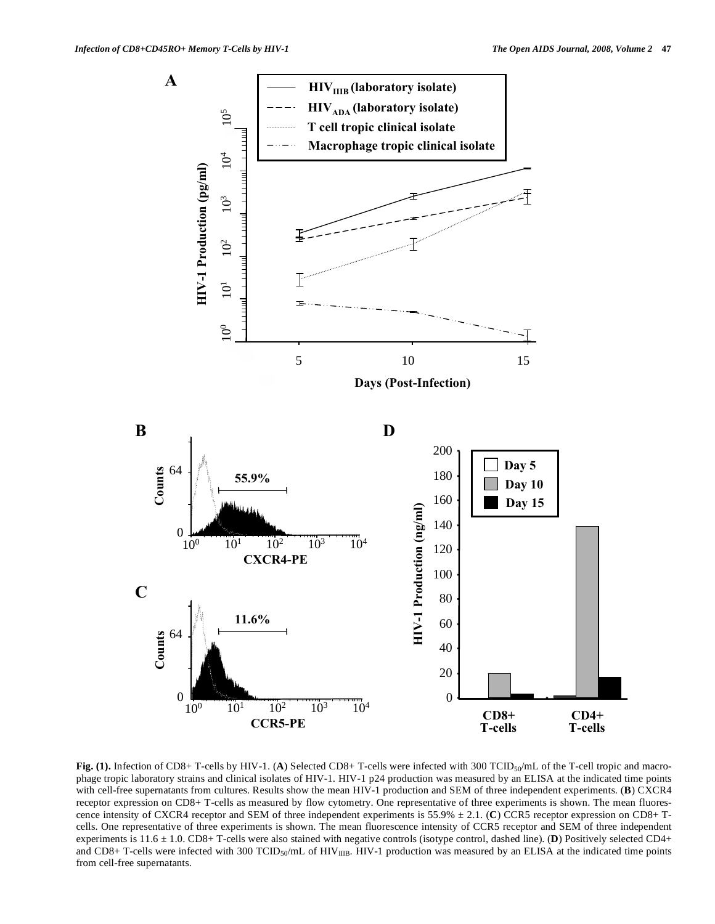

**Fig. (1).** Infection of CD8+ T-cells by HIV-1. (A) Selected CD8+ T-cells were infected with 300 TCID<sub>50</sub>/mL of the T-cell tropic and macrophage tropic laboratory strains and clinical isolates of HIV-1. HIV-1 p24 production was measured by an ELISA at the indicated time points with cell-free supernatants from cultures. Results show the mean HIV-1 production and SEM of three independent experiments. (**B**) CXCR4 receptor expression on CD8+ T-cells as measured by flow cytometry. One representative of three experiments is shown. The mean fluorescence intensity of CXCR4 receptor and SEM of three independent experiments is 55.9% ± 2.1. (**C**) CCR5 receptor expression on CD8+ Tcells. One representative of three experiments is shown. The mean fluorescence intensity of CCR5 receptor and SEM of three independent experiments is 11.6 ± 1.0. CD8+ T-cells were also stained with negative controls (isotype control, dashed line). (**D**) Positively selected CD4+ and CD8+ T-cells were infected with 300 TCID<sub>50</sub>/mL of HIV $_{\text{IIB}}$ . HIV-1 production was measured by an ELISA at the indicated time points from cell-free supernatants.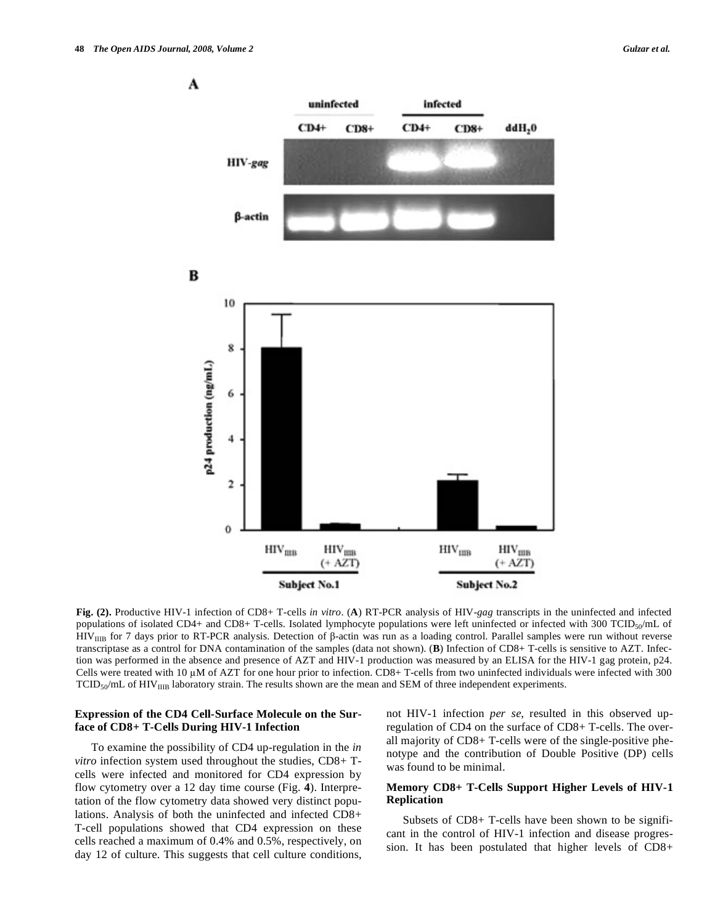

**Fig. (2).** Productive HIV-1 infection of CD8+ T-cells *in vitro*. (**A**) RT-PCR analysis of HIV-*gag* transcripts in the uninfected and infected populations of isolated CD4+ and CD8+ T-cells. Isolated lymphocyte populations were left uninfected or infected with 300 TCID<sub>50</sub>/mL of  $HIV_{IIB}$  for 7 days prior to RT-PCR analysis. Detection of  $\beta$ -actin was run as a loading control. Parallel samples were run without reverse transcriptase as a control for DNA contamination of the samples (data not shown). (**B**) Infection of CD8+ T-cells is sensitive to AZT. Infection was performed in the absence and presence of AZT and HIV-1 production was measured by an ELISA for the HIV-1 gag protein, p24. Cells were treated with 10  $\mu$ M of AZT for one hour prior to infection. CD8+ T-cells from two uninfected individuals were infected with 300  $TCID<sub>50</sub>/mL$  of  $HIV<sub>IIB</sub>$  laboratory strain. The results shown are the mean and SEM of three independent experiments.

## **Expression of the CD4 Cell-Surface Molecule on the Surface of CD8+ T-Cells During HIV-1 Infection**

 To examine the possibility of CD4 up-regulation in the *in vitro* infection system used throughout the studies, CD8+ Tcells were infected and monitored for CD4 expression by flow cytometry over a 12 day time course (Fig. **4**). Interpretation of the flow cytometry data showed very distinct populations. Analysis of both the uninfected and infected CD8+ T-cell populations showed that CD4 expression on these cells reached a maximum of 0.4% and 0.5%, respectively, on day 12 of culture. This suggests that cell culture conditions, not HIV-1 infection *per se*, resulted in this observed upregulation of CD4 on the surface of CD8+ T-cells. The overall majority of CD8+ T-cells were of the single-positive phenotype and the contribution of Double Positive (DP) cells was found to be minimal.

# **Memory CD8+ T-Cells Support Higher Levels of HIV-1 Replication**

 Subsets of CD8+ T-cells have been shown to be significant in the control of HIV-1 infection and disease progression. It has been postulated that higher levels of CD8+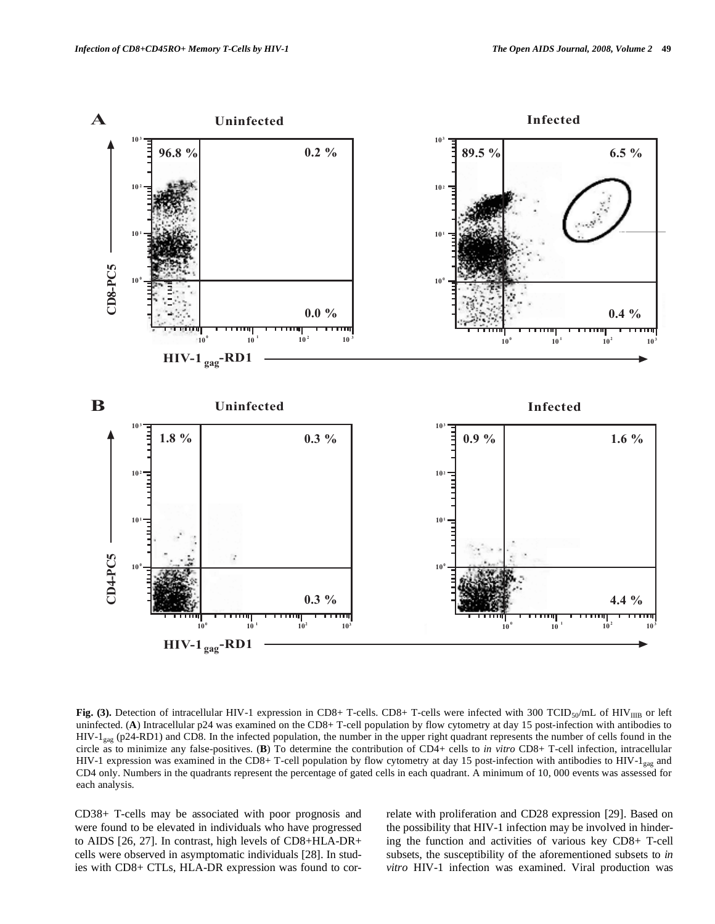

Fig. (3). Detection of intracellular HIV-1 expression in CD8+ T-cells. CD8+ T-cells were infected with 300 TCID<sub>50</sub>/mL of HIV<sub>IIIB</sub> or left uninfected. (**A**) Intracellular p24 was examined on the CD8+ T-cell population by flow cytometry at day 15 post-infection with antibodies to HIV-1 $_{\text{gag}}$  (p24-RD1) and CD8. In the infected population, the number in the upper right quadrant represents the number of cells found in the circle as to minimize any false-positives. (**B**) To determine the contribution of CD4+ cells to *in vitro* CD8+ T-cell infection, intracellular HIV-1 expression was examined in the CD8+ T-cell population by flow cytometry at day 15 post-infection with antibodies to HIV-1 $_{\text{gag}}$  and CD4 only. Numbers in the quadrants represent the percentage of gated cells in each quadrant. A minimum of 10, 000 events was assessed for each analysis.

CD38+ T-cells may be associated with poor prognosis and were found to be elevated in individuals who have progressed to AIDS [26, 27]. In contrast, high levels of CD8+HLA-DR+ cells were observed in asymptomatic individuals [28]. In studies with CD8+ CTLs, HLA-DR expression was found to correlate with proliferation and CD28 expression [29]. Based on the possibility that HIV-1 infection may be involved in hindering the function and activities of various key CD8+ T-cell subsets, the susceptibility of the aforementioned subsets to *in vitro* HIV-1 infection was examined. Viral production was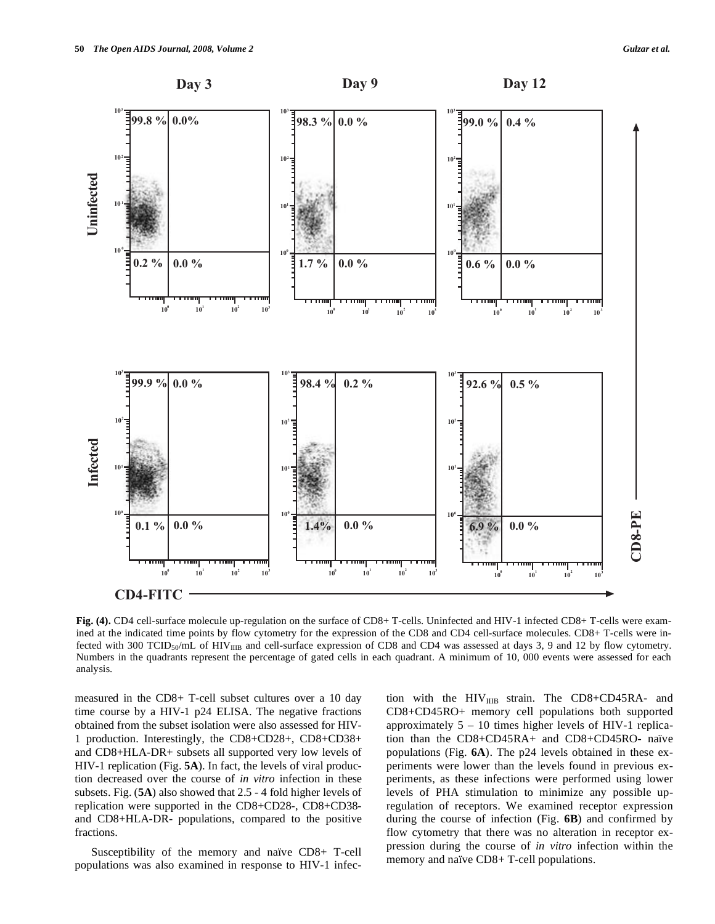



**Fig. (4).** CD4 cell-surface molecule up-regulation on the surface of CD8+ T-cells. Uninfected and HIV-1 infected CD8+ T-cells were examined at the indicated time points by flow cytometry for the expression of the CD8 and CD4 cell-surface molecules. CD8+ T-cells were infected with 300 TCID<sub>50</sub>/mL of HIV<sub>IIIB</sub> and cell-surface expression of CD8 and CD4 was assessed at days 3, 9 and 12 by flow cytometry. Numbers in the quadrants represent the percentage of gated cells in each quadrant. A minimum of 10, 000 events were assessed for each analysis.

measured in the CD8+ T-cell subset cultures over a 10 day time course by a HIV-1 p24 ELISA. The negative fractions obtained from the subset isolation were also assessed for HIV-1 production. Interestingly, the CD8+CD28+, CD8+CD38+ and CD8+HLA-DR+ subsets all supported very low levels of HIV-1 replication (Fig. **5A**). In fact, the levels of viral production decreased over the course of *in vitro* infection in these subsets. Fig. (**5A**) also showed that 2.5 - 4 fold higher levels of replication were supported in the CD8+CD28-, CD8+CD38 and CD8+HLA-DR- populations, compared to the positive fractions.

 Susceptibility of the memory and naïve CD8+ T-cell populations was also examined in response to HIV-1 infection with the  $HIV_{IIB}$  strain. The CD8+CD45RA- and CD8+CD45RO+ memory cell populations both supported approximately  $5 - 10$  times higher levels of HIV-1 replication than the CD8+CD45RA+ and CD8+CD45RO- naïve populations (Fig. **6A**). The p24 levels obtained in these experiments were lower than the levels found in previous experiments, as these infections were performed using lower levels of PHA stimulation to minimize any possible upregulation of receptors. We examined receptor expression during the course of infection (Fig. **6B**) and confirmed by flow cytometry that there was no alteration in receptor expression during the course of *in vitro* infection within the memory and naïve CD8+ T-cell populations.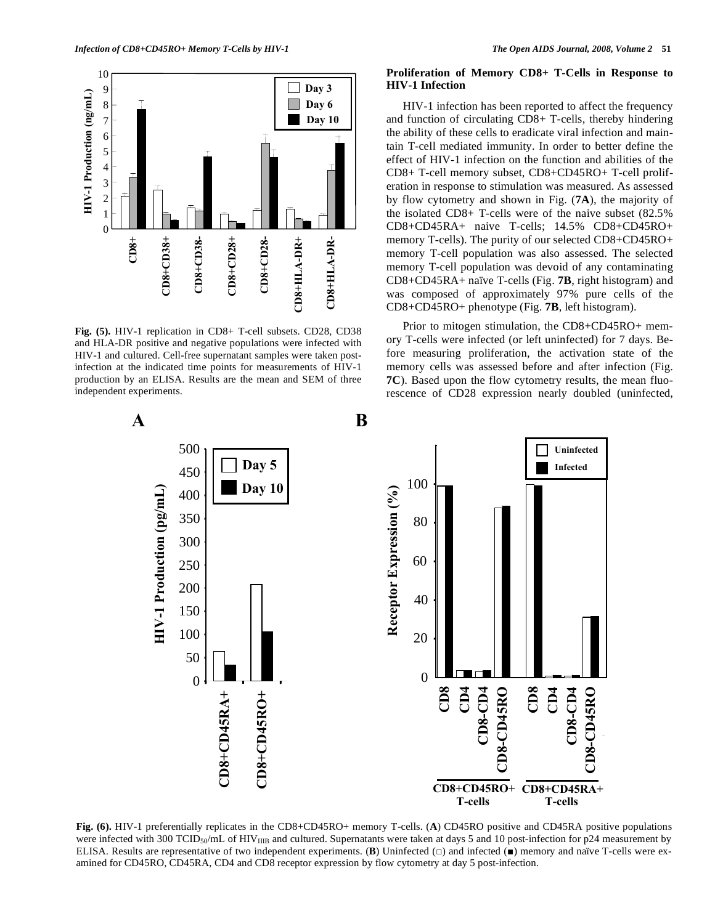

**Fig. (5).** HIV-1 replication in CD8+ T-cell subsets. CD28, CD38 and HLA-DR positive and negative populations were infected with HIV-1 and cultured. Cell-free supernatant samples were taken postinfection at the indicated time points for measurements of HIV-1 production by an ELISA. Results are the mean and SEM of three independent experiments.

## **Proliferation of Memory CD8+ T-Cells in Response to HIV-1 Infection**

 HIV-1 infection has been reported to affect the frequency and function of circulating CD8+ T-cells, thereby hindering the ability of these cells to eradicate viral infection and maintain T-cell mediated immunity. In order to better define the effect of HIV-1 infection on the function and abilities of the CD8+ T-cell memory subset, CD8+CD45RO+ T-cell proliferation in response to stimulation was measured. As assessed by flow cytometry and shown in Fig. (**7A**), the majority of the isolated CD8+ T-cells were of the naive subset (82.5% CD8+CD45RA+ naive T-cells; 14.5% CD8+CD45RO+ memory T-cells). The purity of our selected CD8+CD45RO+ memory T-cell population was also assessed. The selected memory T-cell population was devoid of any contaminating CD8+CD45RA+ naïve T-cells (Fig. **7B**, right histogram) and was composed of approximately 97% pure cells of the CD8+CD45RO+ phenotype (Fig. **7B**, left histogram).

 Prior to mitogen stimulation, the CD8+CD45RO+ memory T-cells were infected (or left uninfected) for 7 days. Before measuring proliferation, the activation state of the memory cells was assessed before and after infection (Fig. **7C**). Based upon the flow cytometry results, the mean fluorescence of CD28 expression nearly doubled (uninfected,



**Fig. (6).** HIV-1 preferentially replicates in the CD8+CD45RO+ memory T-cells. (**A**) CD45RO positive and CD45RA positive populations were infected with 300 TCID<sub>50</sub>/mL of HIV<sub>IIIB</sub> and cultured. Supernatants were taken at days 5 and 10 post-infection for p24 measurement by ELISA. Results are representative of two independent experiments.  $(B)$  Uninfected  $(\Box)$  and infected  $(\Box)$  memory and naïve T-cells were ex-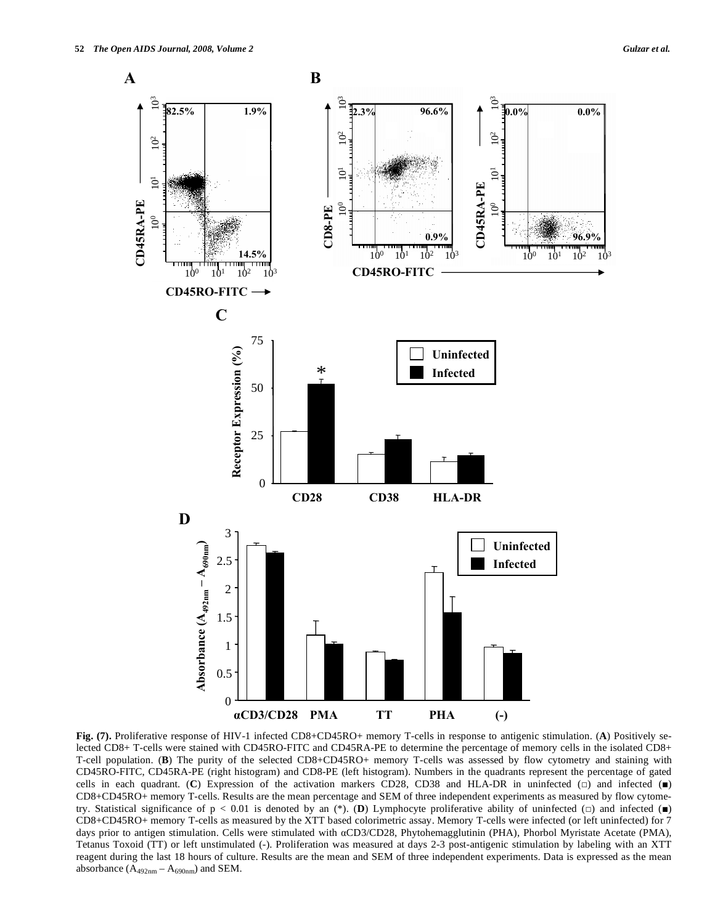

**Fig. (7).** Proliferative response of HIV-1 infected CD8+CD45RO+ memory T-cells in response to antigenic stimulation. (**A**) Positively selected CD8+ T-cells were stained with CD45RO-FITC and CD45RA-PE to determine the percentage of memory cells in the isolated CD8+ T-cell population. (**B**) The purity of the selected CD8+CD45RO+ memory T-cells was assessed by flow cytometry and staining with CD45RO-FITC, CD45RA-PE (right histogram) and CD8-PE (left histogram). Numbers in the quadrants represent the percentage of gated cells in each quadrant. (C) Expression of the activation markers CD28, CD38 and HLA-DR in uninfected  $\Box$ ) and infected  $\Box$ ) CD8+CD45RO+ memory T-cells. Results are the mean percentage and SEM of three independent experiments as measured by flow cytometry. Statistical significance of  $p < 0.01$  is denoted by an (\*). (D) Lymphocyte proliferative ability of uninfected ( $\square$ ) and infected ( $\square$ ) CD8+CD45RO+ memory T-cells as measured by the XTT based colorimetric assay. Memory T-cells were infected (or left uninfected) for 7 days prior to antigen stimulation. Cells were stimulated with aCD3/CD28, Phytohemagglutinin (PHA), Phorbol Myristate Acetate (PMA), Tetanus Toxoid (TT) or left unstimulated (-). Proliferation was measured at days 2-3 post-antigenic stimulation by labeling with an XTT reagent during the last 18 hours of culture. Results are the mean and SEM of three independent experiments. Data is expressed as the mean absorbance  $(A_{492nm} - A_{690nm})$  and SEM.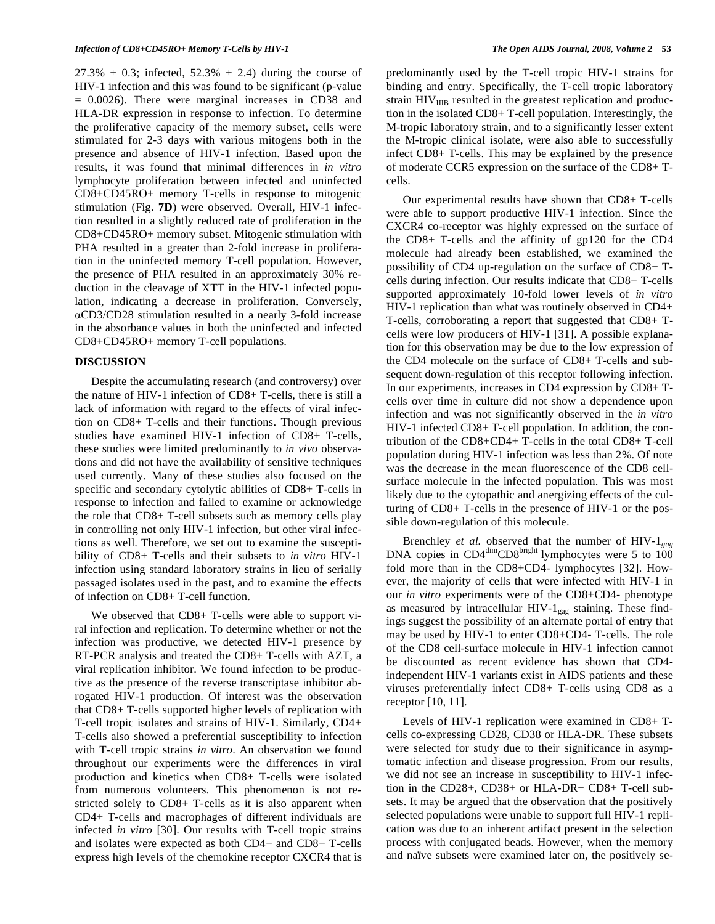27.3%  $\pm$  0.3; infected, 52.3%  $\pm$  2.4) during the course of HIV-1 infection and this was found to be significant (p-value = 0.0026). There were marginal increases in CD38 and HLA-DR expression in response to infection. To determine the proliferative capacity of the memory subset, cells were stimulated for 2-3 days with various mitogens both in the presence and absence of HIV-1 infection. Based upon the results, it was found that minimal differences in *in vitro* lymphocyte proliferation between infected and uninfected CD8+CD45RO+ memory T-cells in response to mitogenic stimulation (Fig. **7D**) were observed. Overall, HIV-1 infection resulted in a slightly reduced rate of proliferation in the CD8+CD45RO+ memory subset. Mitogenic stimulation with PHA resulted in a greater than 2-fold increase in proliferation in the uninfected memory T-cell population. However, the presence of PHA resulted in an approximately 30% reduction in the cleavage of XTT in the HIV-1 infected population, indicating a decrease in proliferation. Conversely, CD3/CD28 stimulation resulted in a nearly 3-fold increase in the absorbance values in both the uninfected and infected CD8+CD45RO+ memory T-cell populations.

#### **DISCUSSION**

 Despite the accumulating research (and controversy) over the nature of HIV-1 infection of CD8+ T-cells, there is still a lack of information with regard to the effects of viral infection on CD8+ T-cells and their functions. Though previous studies have examined HIV-1 infection of CD8+ T-cells, these studies were limited predominantly to *in vivo* observations and did not have the availability of sensitive techniques used currently. Many of these studies also focused on the specific and secondary cytolytic abilities of CD8+ T-cells in response to infection and failed to examine or acknowledge the role that CD8+ T-cell subsets such as memory cells play in controlling not only HIV-1 infection, but other viral infections as well. Therefore, we set out to examine the susceptibility of CD8+ T-cells and their subsets to *in vitro* HIV-1 infection using standard laboratory strains in lieu of serially passaged isolates used in the past, and to examine the effects of infection on CD8+ T-cell function.

We observed that CD8+ T-cells were able to support viral infection and replication. To determine whether or not the infection was productive, we detected HIV-1 presence by RT-PCR analysis and treated the CD8+ T-cells with AZT, a viral replication inhibitor. We found infection to be productive as the presence of the reverse transcriptase inhibitor abrogated HIV-1 production. Of interest was the observation that CD8+ T-cells supported higher levels of replication with T-cell tropic isolates and strains of HIV-1. Similarly, CD4+ T-cells also showed a preferential susceptibility to infection with T-cell tropic strains *in vitro*. An observation we found throughout our experiments were the differences in viral production and kinetics when CD8+ T-cells were isolated from numerous volunteers. This phenomenon is not restricted solely to CD8+ T-cells as it is also apparent when CD4+ T-cells and macrophages of different individuals are infected *in vitro* [30]. Our results with T-cell tropic strains and isolates were expected as both CD4+ and CD8+ T-cells express high levels of the chemokine receptor CXCR4 that is predominantly used by the T-cell tropic HIV-1 strains for binding and entry. Specifically, the T-cell tropic laboratory strain  $HIV<sub>IIB</sub>$  resulted in the greatest replication and production in the isolated CD8+ T-cell population. Interestingly, the M-tropic laboratory strain, and to a significantly lesser extent the M-tropic clinical isolate, were also able to successfully infect CD8+ T-cells. This may be explained by the presence of moderate CCR5 expression on the surface of the CD8+ Tcells.

 Our experimental results have shown that CD8+ T-cells were able to support productive HIV-1 infection. Since the CXCR4 co-receptor was highly expressed on the surface of the CD8+ T-cells and the affinity of gp120 for the CD4 molecule had already been established, we examined the possibility of CD4 up-regulation on the surface of CD8+ Tcells during infection. Our results indicate that CD8+ T-cells supported approximately 10-fold lower levels of *in vitro* HIV-1 replication than what was routinely observed in CD4+ T-cells, corroborating a report that suggested that CD8+ Tcells were low producers of HIV-1 [31]. A possible explanation for this observation may be due to the low expression of the CD4 molecule on the surface of CD8+ T-cells and subsequent down-regulation of this receptor following infection. In our experiments, increases in CD4 expression by CD8+ Tcells over time in culture did not show a dependence upon infection and was not significantly observed in the *in vitro* HIV-1 infected CD8+ T-cell population. In addition, the contribution of the CD8+CD4+ T-cells in the total CD8+ T-cell population during HIV-1 infection was less than 2%. Of note was the decrease in the mean fluorescence of the CD8 cellsurface molecule in the infected population. This was most likely due to the cytopathic and anergizing effects of the culturing of CD8+ T-cells in the presence of HIV-1 or the possible down-regulation of this molecule.

 Brenchley *et al.* observed that the number of HIV-1*gag* DNA copies in  $CD4^{\text{dim}}CD8^{\text{bright}}$  lymphocytes were 5 to 100 fold more than in the CD8+CD4- lymphocytes [32]. However, the majority of cells that were infected with HIV-1 in our *in vitro* experiments were of the CD8+CD4- phenotype as measured by intracellular HIV- $1_{\text{gas}}$  staining. These findings suggest the possibility of an alternate portal of entry that may be used by HIV-1 to enter CD8+CD4- T-cells. The role of the CD8 cell-surface molecule in HIV-1 infection cannot be discounted as recent evidence has shown that CD4 independent HIV-1 variants exist in AIDS patients and these viruses preferentially infect CD8+ T-cells using CD8 as a receptor [10, 11].

 Levels of HIV-1 replication were examined in CD8+ Tcells co-expressing CD28, CD38 or HLA-DR. These subsets were selected for study due to their significance in asymptomatic infection and disease progression. From our results, we did not see an increase in susceptibility to HIV-1 infection in the CD28+, CD38+ or HLA-DR+ CD8+ T-cell subsets. It may be argued that the observation that the positively selected populations were unable to support full HIV-1 replication was due to an inherent artifact present in the selection process with conjugated beads. However, when the memory and naïve subsets were examined later on, the positively se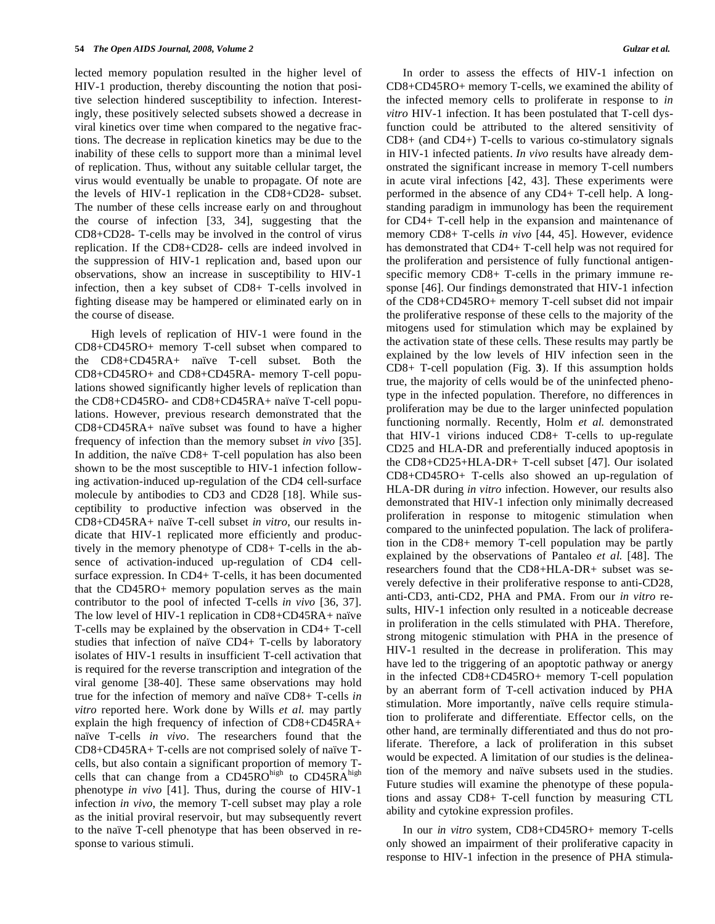lected memory population resulted in the higher level of HIV-1 production, thereby discounting the notion that positive selection hindered susceptibility to infection. Interestingly, these positively selected subsets showed a decrease in viral kinetics over time when compared to the negative fractions. The decrease in replication kinetics may be due to the inability of these cells to support more than a minimal level of replication. Thus, without any suitable cellular target, the virus would eventually be unable to propagate. Of note are the levels of HIV-1 replication in the CD8+CD28- subset. The number of these cells increase early on and throughout the course of infection [33, 34], suggesting that the CD8+CD28- T-cells may be involved in the control of virus replication. If the CD8+CD28- cells are indeed involved in the suppression of HIV-1 replication and, based upon our observations, show an increase in susceptibility to HIV-1 infection, then a key subset of CD8+ T-cells involved in fighting disease may be hampered or eliminated early on in the course of disease.

 High levels of replication of HIV-1 were found in the CD8+CD45RO+ memory T-cell subset when compared to the CD8+CD45RA+ naïve T-cell subset. Both the CD8+CD45RO+ and CD8+CD45RA- memory T-cell populations showed significantly higher levels of replication than the CD8+CD45RO- and CD8+CD45RA+ naïve T-cell populations. However, previous research demonstrated that the CD8+CD45RA+ naïve subset was found to have a higher frequency of infection than the memory subset *in vivo* [35]. In addition, the naïve CD8+ T-cell population has also been shown to be the most susceptible to HIV-1 infection following activation-induced up-regulation of the CD4 cell-surface molecule by antibodies to CD3 and CD28 [18]. While susceptibility to productive infection was observed in the CD8+CD45RA+ naïve T-cell subset *in vitro*, our results indicate that HIV-1 replicated more efficiently and productively in the memory phenotype of CD8+ T-cells in the absence of activation-induced up-regulation of CD4 cellsurface expression. In CD4+ T-cells, it has been documented that the CD45RO+ memory population serves as the main contributor to the pool of infected T-cells *in vivo* [36, 37]. The low level of HIV-1 replication in CD8+CD45RA+ naïve T-cells may be explained by the observation in CD4+ T-cell studies that infection of naïve CD4+ T-cells by laboratory isolates of HIV-1 results in insufficient T-cell activation that is required for the reverse transcription and integration of the viral genome [38-40]. These same observations may hold true for the infection of memory and naïve CD8+ T-cells *in vitro* reported here. Work done by Wills *et al.* may partly explain the high frequency of infection of CD8+CD45RA+ naïve T-cells *in vivo*. The researchers found that the CD8+CD45RA+ T-cells are not comprised solely of naïve Tcells, but also contain a significant proportion of memory Tcells that can change from a CD45ROhigh to CD45RAhigh phenotype *in vivo* [41]. Thus, during the course of HIV-1 infection *in vivo*, the memory T-cell subset may play a role as the initial proviral reservoir, but may subsequently revert to the naïve T-cell phenotype that has been observed in response to various stimuli.

 In order to assess the effects of HIV-1 infection on CD8+CD45RO+ memory T-cells, we examined the ability of the infected memory cells to proliferate in response to *in vitro* HIV-1 infection. It has been postulated that T-cell dysfunction could be attributed to the altered sensitivity of CD8+ (and CD4+) T-cells to various co-stimulatory signals in HIV-1 infected patients. *In vivo* results have already demonstrated the significant increase in memory T-cell numbers in acute viral infections [42, 43]. These experiments were performed in the absence of any CD4+ T-cell help. A longstanding paradigm in immunology has been the requirement for CD4+ T-cell help in the expansion and maintenance of memory CD8+ T-cells *in vivo* [44, 45]. However, evidence has demonstrated that CD4+ T-cell help was not required for the proliferation and persistence of fully functional antigenspecific memory CD8+ T-cells in the primary immune response [46]. Our findings demonstrated that HIV-1 infection of the CD8+CD45RO+ memory T-cell subset did not impair the proliferative response of these cells to the majority of the mitogens used for stimulation which may be explained by the activation state of these cells. These results may partly be explained by the low levels of HIV infection seen in the CD8+ T-cell population (Fig. **3**). If this assumption holds true, the majority of cells would be of the uninfected phenotype in the infected population. Therefore, no differences in proliferation may be due to the larger uninfected population functioning normally. Recently, Holm *et al.* demonstrated that HIV-1 virions induced CD8+ T-cells to up-regulate CD25 and HLA-DR and preferentially induced apoptosis in the CD8+CD25+HLA-DR+ T-cell subset [47]. Our isolated CD8+CD45RO+ T-cells also showed an up-regulation of HLA-DR during *in vitro* infection. However, our results also demonstrated that HIV-1 infection only minimally decreased proliferation in response to mitogenic stimulation when compared to the uninfected population. The lack of proliferation in the CD8+ memory T-cell population may be partly explained by the observations of Pantaleo *et al.* [48]. The researchers found that the CD8+HLA-DR+ subset was severely defective in their proliferative response to anti-CD28, anti-CD3, anti-CD2, PHA and PMA. From our *in vitro* results, HIV-1 infection only resulted in a noticeable decrease in proliferation in the cells stimulated with PHA. Therefore, strong mitogenic stimulation with PHA in the presence of HIV-1 resulted in the decrease in proliferation. This may have led to the triggering of an apoptotic pathway or anergy in the infected CD8+CD45RO+ memory T-cell population by an aberrant form of T-cell activation induced by PHA stimulation. More importantly, naïve cells require stimulation to proliferate and differentiate. Effector cells, on the other hand, are terminally differentiated and thus do not proliferate. Therefore, a lack of proliferation in this subset would be expected. A limitation of our studies is the delineation of the memory and naïve subsets used in the studies. Future studies will examine the phenotype of these populations and assay CD8+ T-cell function by measuring CTL ability and cytokine expression profiles.

 In our *in vitro* system, CD8+CD45RO+ memory T-cells only showed an impairment of their proliferative capacity in response to HIV-1 infection in the presence of PHA stimula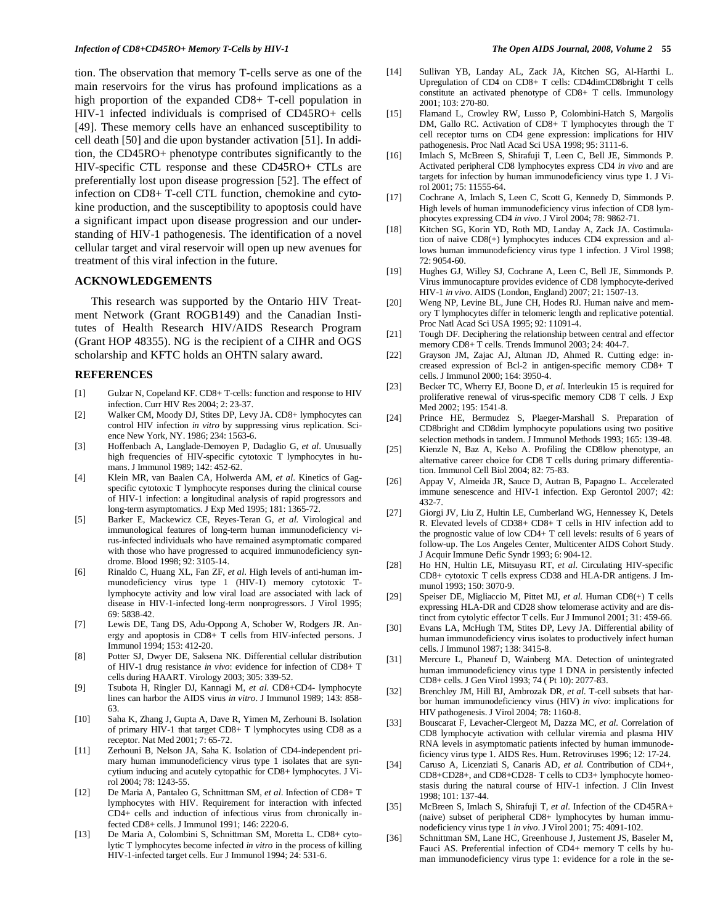tion. The observation that memory T-cells serve as one of the main reservoirs for the virus has profound implications as a high proportion of the expanded CD8+ T-cell population in HIV-1 infected individuals is comprised of CD45RO+ cells [49]. These memory cells have an enhanced susceptibility to cell death [50] and die upon bystander activation [51]. In addition, the CD45RO+ phenotype contributes significantly to the HIV-specific CTL response and these CD45RO+ CTLs are preferentially lost upon disease progression [52]. The effect of infection on CD8+ T-cell CTL function, chemokine and cytokine production, and the susceptibility to apoptosis could have a significant impact upon disease progression and our understanding of HIV-1 pathogenesis. The identification of a novel cellular target and viral reservoir will open up new avenues for treatment of this viral infection in the future.

## **ACKNOWLEDGEMENTS**

 This research was supported by the Ontario HIV Treatment Network (Grant ROGB149) and the Canadian Institutes of Health Research HIV/AIDS Research Program (Grant HOP 48355). NG is the recipient of a CIHR and OGS scholarship and KFTC holds an OHTN salary award.

#### **REFERENCES**

- [1] Gulzar N, Copeland KF. CD8+ T-cells: function and response to HIV infection. Curr HIV Res 2004; 2: 23-37.
- [2] Walker CM, Moody DJ, Stites DP, Levy JA. CD8+ lymphocytes can control HIV infection *in vitro* by suppressing virus replication. Science New York, NY. 1986; 234: 1563-6.
- [3] Hoffenbach A, Langlade-Demoyen P, Dadaglio G, *et al*. Unusually high frequencies of HIV-specific cytotoxic T lymphocytes in humans. J Immunol 1989; 142: 452-62.
- [4] Klein MR, van Baalen CA, Holwerda AM, *et al*. Kinetics of Gagspecific cytotoxic T lymphocyte responses during the clinical course of HIV-1 infection: a longitudinal analysis of rapid progressors and long-term asymptomatics. J Exp Med 1995; 181: 1365-72.
- [5] Barker E, Mackewicz CE, Reyes-Teran G, *et al.* Virological and immunological features of long-term human immunodeficiency virus-infected individuals who have remained asymptomatic compared with those who have progressed to acquired immunodeficiency syndrome. Blood 1998; 92: 3105-14.
- [6] Rinaldo C, Huang XL, Fan ZF, *et al*. High levels of anti-human immunodeficiency virus type 1 (HIV-1) memory cytotoxic Tlymphocyte activity and low viral load are associated with lack of disease in HIV-1-infected long-term nonprogressors. J Virol 1995; 69: 5838-42.
- [7] Lewis DE, Tang DS, Adu-Oppong A, Schober W, Rodgers JR. Anergy and apoptosis in CD8+ T cells from HIV-infected persons. J Immunol 1994; 153: 412-20.
- [8] Potter SJ, Dwyer DE, Saksena NK. Differential cellular distribution of HIV-1 drug resistance *in vivo*: evidence for infection of CD8+ T cells during HAART. Virology 2003; 305: 339-52.
- [9] Tsubota H, Ringler DJ, Kannagi M, *et al.* CD8+CD4- lymphocyte lines can harbor the AIDS virus *in vitro*. J Immunol 1989; 143: 858- 63.
- [10] Saha K, Zhang J, Gupta A, Dave R, Yimen M, Zerhouni B. Isolation of primary HIV-1 that target CD8+ T lymphocytes using CD8 as a receptor. Nat Med 2001; 7: 65-72.
- [11] Zerhouni B, Nelson JA, Saha K. Isolation of CD4-independent primary human immunodeficiency virus type 1 isolates that are syncytium inducing and acutely cytopathic for CD8+ lymphocytes. J Virol 2004; 78: 1243-55.
- [12] De Maria A, Pantaleo G, Schnittman SM, *et al*. Infection of CD8+ T lymphocytes with HIV. Requirement for interaction with infected CD4+ cells and induction of infectious virus from chronically infected CD8+ cells. J Immunol 1991; 146: 2220-6.
- [13] De Maria A, Colombini S, Schnittman SM, Moretta L. CD8+ cytolytic T lymphocytes become infected *in vitro* in the process of killing HIV-1-infected target cells. Eur J Immunol 1994; 24: 531-6.
- [14] Sullivan YB, Landay AL, Zack JA, Kitchen SG, Al-Harthi L. Upregulation of CD4 on CD8+ T cells: CD4dimCD8bright T cells constitute an activated phenotype of CD8+ T cells. Immunology 2001; 103: 270-80.
- [15] Flamand L, Crowley RW, Lusso P, Colombini-Hatch S, Margolis DM, Gallo RC. Activation of CD8+ T lymphocytes through the T cell receptor turns on CD4 gene expression: implications for HIV pathogenesis. Proc Natl Acad Sci USA 1998; 95: 3111-6.
- [16] Imlach S, McBreen S, Shirafuji T, Leen C, Bell JE, Simmonds P. Activated peripheral CD8 lymphocytes express CD4 *in vivo* and are targets for infection by human immunodeficiency virus type 1. J Virol 2001; 75: 11555-64.
- [17] Cochrane A, Imlach S, Leen C, Scott G, Kennedy D, Simmonds P. High levels of human immunodeficiency virus infection of CD8 lymphocytes expressing CD4 *in vivo*. J Virol 2004; 78: 9862-71.
- [18] Kitchen SG, Korin YD, Roth MD, Landay A, Zack JA. Costimulation of naive CD8(+) lymphocytes induces CD4 expression and allows human immunodeficiency virus type 1 infection. J Virol 1998;  $72.9054-60.$
- [19] Hughes GJ, Willey SJ, Cochrane A, Leen C, Bell JE, Simmonds P. Virus immunocapture provides evidence of CD8 lymphocyte-derived HIV-1 *in vivo*. AIDS (London, England) 2007; 21: 1507-13.
- [20] Weng NP, Levine BL, June CH, Hodes RJ. Human naive and memory T lymphocytes differ in telomeric length and replicative potential. Proc Natl Acad Sci USA 1995; 92: 11091-4.
- [21] Tough DF. Deciphering the relationship between central and effector memory CD8+ T cells. Trends Immunol 2003; 24: 404-7.
- [22] Grayson JM, Zajac AJ, Altman JD, Ahmed R. Cutting edge: increased expression of Bcl-2 in antigen-specific memory CD8+ T cells. J Immunol 2000; 164: 3950-4.
- [23] Becker TC, Wherry EJ, Boone D, *et al*. Interleukin 15 is required for proliferative renewal of virus-specific memory CD8 T cells. J Exp Med 2002; 195: 1541-8.
- [24] Prince HE, Bermudez S, Plaeger-Marshall S. Preparation of CD8bright and CD8dim lymphocyte populations using two positive selection methods in tandem. J Immunol Methods 1993; 165: 139-48.
- [25] Kienzle N, Baz A, Kelso A. Profiling the CD8low phenotype, an alternative career choice for CD8 T cells during primary differentiation. Immunol Cell Biol 2004; 82: 75-83.
- [26] Appay V, Almeida JR, Sauce D, Autran B, Papagno L. Accelerated immune senescence and HIV-1 infection. Exp Gerontol 2007; 42: 432-7.
- [27] Giorgi JV, Liu Z, Hultin LE, Cumberland WG, Hennessey K, Detels R. Elevated levels of CD38+ CD8+ T cells in HIV infection add to the prognostic value of low CD4+ T cell levels: results of 6 years of follow-up. The Los Angeles Center, Multicenter AIDS Cohort Study. J Acquir Immune Defic Syndr 1993; 6: 904-12.
- [28] Ho HN, Hultin LE, Mitsuyasu RT, *et al*. Circulating HIV-specific CD8+ cytotoxic T cells express CD38 and HLA-DR antigens. J Immunol 1993; 150: 3070-9.
- [29] Speiser DE, Migliaccio M, Pittet MJ, *et al*. Human CD8(+) T cells expressing HLA-DR and CD28 show telomerase activity and are distinct from cytolytic effector T cells. Eur J Immunol 2001; 31: 459-66.
- [30] Evans LA, McHugh TM, Stites DP, Levy JA. Differential ability of human immunodeficiency virus isolates to productively infect human cells. J Immunol 1987; 138: 3415-8.
- [31] Mercure L, Phaneuf D, Wainberg MA. Detection of unintegrated human immunodeficiency virus type 1 DNA in persistently infected CD8+ cells. J Gen Virol 1993; 74 ( Pt 10): 2077-83.
- [32] Brenchley JM, Hill BJ, Ambrozak DR, *et al.* T-cell subsets that harbor human immunodeficiency virus (HIV) *in vivo*: implications for HIV pathogenesis. J Virol 2004; 78: 1160-8.
- [33] Bouscarat F, Levacher-Clergeot M, Dazza MC, *et al.* Correlation of CD8 lymphocyte activation with cellular viremia and plasma HIV RNA levels in asymptomatic patients infected by human immunodeficiency virus type 1. AIDS Res. Hum. Retroviruses 1996; 12: 17-24.
- [34] Caruso A, Licenziati S, Canaris AD, *et al*. Contribution of CD4+, CD8+CD28+, and CD8+CD28- T cells to CD3+ lymphocyte homeostasis during the natural course of HIV-1 infection. J Clin Invest 1998; 101: 137-44.
- [35] McBreen S, Imlach S, Shirafuji T, *et al*. Infection of the CD45RA+ (naive) subset of peripheral CD8+ lymphocytes by human immunodeficiency virus type 1 *in vivo*. J Virol 2001; 75: 4091-102.
- [36] Schnittman SM, Lane HC, Greenhouse J, Justement JS, Baseler M, Fauci AS. Preferential infection of CD4+ memory T cells by human immunodeficiency virus type 1: evidence for a role in the se-